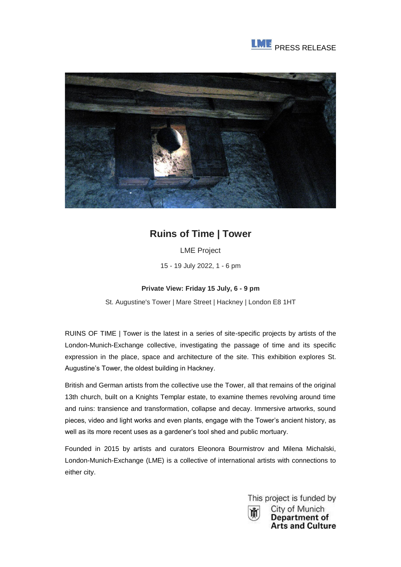



## **Ruins of Time | Tower**

LME Project

15 - 19 July 2022, 1 - 6 pm

## **Private View: Friday 15 July, 6 - 9 pm**

St. Augustine's Tower | Mare Street | Hackney | London E8 1HT

RUINS OF TIME | Tower is the latest in a series of site-specific projects by artists of the London-Munich-Exchange collective, investigating the passage of time and its specific expression in the place, space and architecture of the site. This exhibition explores St. Augustine's Tower, the oldest building in Hackney.

British and German artists from the collective use the Tower, all that remains of the original 13th church, built on a Knights Templar estate, to examine themes revolving around time and ruins: transience and transformation, collapse and decay. Immersive artworks, sound pieces, video and light works and even plants, engage with the Tower's ancient history, as well as its more recent uses as a gardener's tool shed and public mortuary.

Founded in 2015 by artists and curators Eleonora Bourmistrov and Milena Michalski, London-Munich-Exchange (LME) is a collective of international artists with connections to either city.



City of Munich Department of **Arts and Culture**